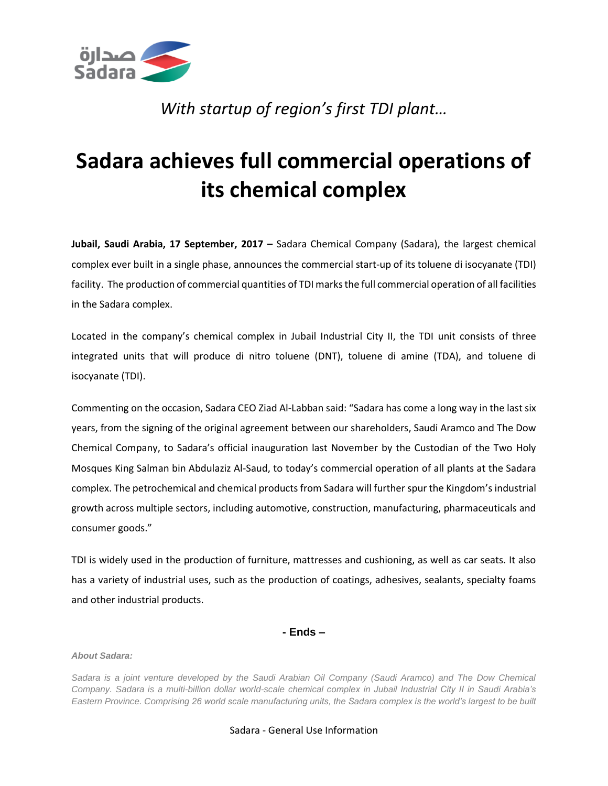

# *With startup of region's first TDI plant…*

# **Sadara achieves full commercial operations of its chemical complex**

**Jubail, Saudi Arabia, 17 September, 2017 –** Sadara Chemical Company (Sadara), the largest chemical complex ever built in a single phase, announces the commercial start-up of its toluene di isocyanate (TDI) facility. The production of commercial quantities of TDI marks the full commercial operation of all facilities in the Sadara complex.

Located in the company's chemical complex in Jubail Industrial City II, the TDI unit consists of three integrated units that will produce di nitro toluene (DNT), toluene di amine (TDA), and toluene di isocyanate (TDI).

Commenting on the occasion, Sadara CEO Ziad Al-Labban said: "Sadara has come a long way in the last six years, from the signing of the original agreement between our shareholders, Saudi Aramco and The Dow Chemical Company, to Sadara's official inauguration last November by the Custodian of the Two Holy Mosques King Salman bin Abdulaziz Al-Saud, to today's commercial operation of all plants at the Sadara complex. The petrochemical and chemical products from Sadara will further spur the Kingdom's industrial growth across multiple sectors, including automotive, construction, manufacturing, pharmaceuticals and consumer goods."

TDI is widely used in the production of furniture, mattresses and cushioning, as well as car seats. It also has a variety of industrial uses, such as the production of coatings, adhesives, sealants, specialty foams and other industrial products.

## **- Ends –**

### *About Sadara:*

*Sadara is a joint venture developed by the Saudi Arabian Oil Company (Saudi Aramco) and The Dow Chemical Company. Sadara is a multi-billion dollar world-scale chemical complex in Jubail Industrial City II in Saudi Arabia's Eastern Province. Comprising 26 world scale manufacturing units, the Sadara complex is the world's largest to be built* 

### Sadara - General Use Information